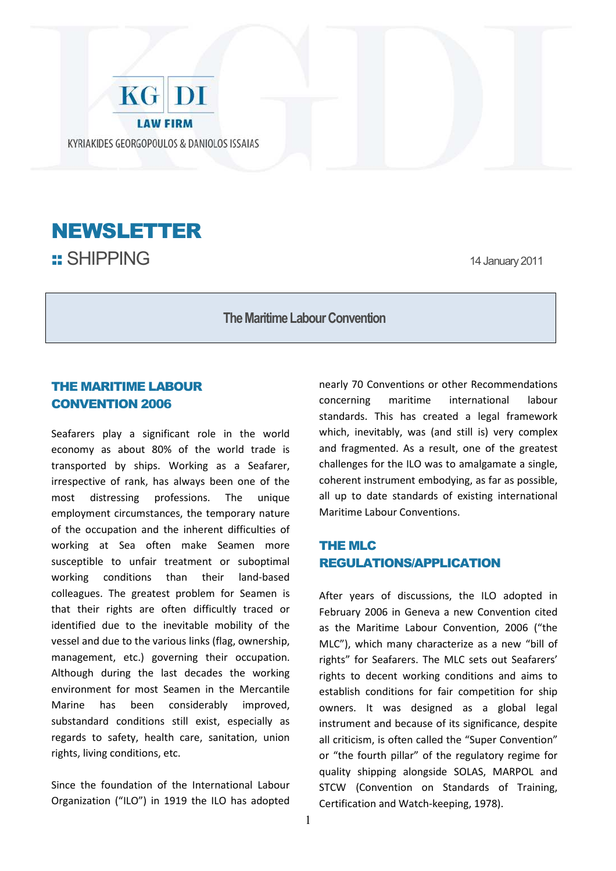



**The Maritime Labour Convention** 

## THE MARITIME LABOUR CONVENTION 2006

Seafarers play a significant role in the world economy as about 80% of the world trade is transported by ships. Working as a Seafarer, irrespective of rank, has always been one of the most distressing professions. The unique employment circumstances, the temporary nature of the occupation and the inherent difficulties of working at Sea often make Seamen more susceptible to unfair treatment or suboptimal working conditions than their land-based colleagues. The greatest problem for Seamen is that their rights are often difficultly traced or identified due to the inevitable mobility of the vessel and due to the various links (flag, ownership, management, etc.) governing their occupation. Although during the last decades the working environment for most Seamen in the Mercantile Marine has been considerably improved, substandard conditions still exist, especially as regards to safety, health care, sanitation, union rights, living conditions, etc.

Since the foundation of the International Labour Organization ("ILO") in 1919 the ILO has adopted nearly 70 Conventions or other Recommendations concerning maritime international labour standards. This has created a legal framework which, inevitably, was (and still is) very complex and fragmented. As a result, one of the greatest challenges for the ILO was to amalgamate a single, coherent instrument embodying, as far as possible, all up to date standards of existing international Maritime Labour Conventions.

## THE MLC REGULATIONS/APPLICATION

After years of discussions, the ILO adopted in February 2006 in Geneva a new Convention cited as the Maritime Labour Convention, 2006 ("the MLC"), which many characterize as a new "bill of rights" for Seafarers. The MLC sets out Seafarers' rights to decent working conditions and aims to establish conditions for fair competition for ship owners. It was designed as a global legal instrument and because of its significance, despite all criticism, is often called the "Super Convention" or "the fourth pillar" of the regulatory regime for quality shipping alongside SOLAS, MARPOL and STCW (Convention on Standards of Training, Certification and Watch-keeping, 1978).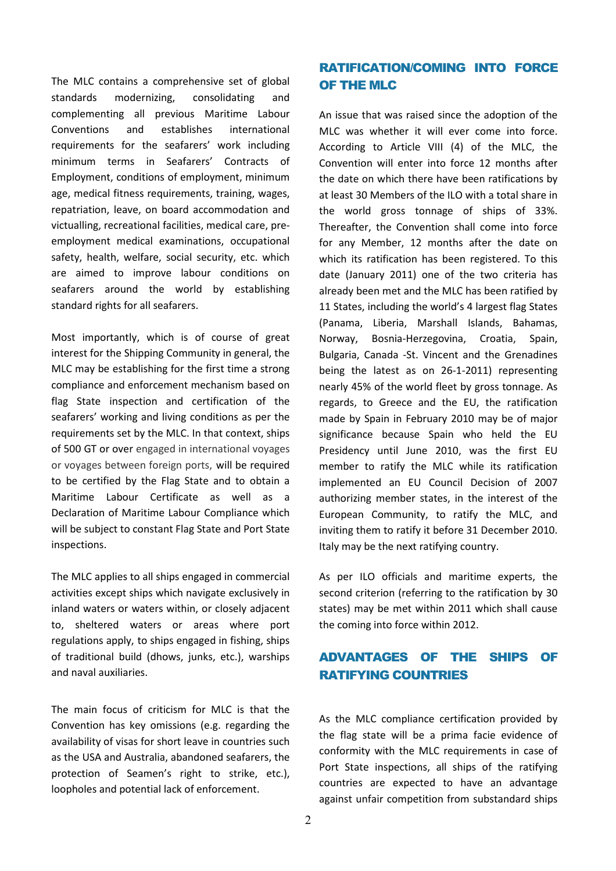The MLC contains a comprehensive set of global standards modernizing, consolidating and complementing all previous Maritime Labour Conventions and establishes international requirements for the seafarers' work including minimum terms in Seafarers' Contracts of Employment, conditions of employment, minimum age, medical fitness requirements, training, wages, repatriation, leave, on board accommodation and victualling, recreational facilities, medical care, preemployment medical examinations, occupational safety, health, welfare, social security, etc. which are aimed to improve labour conditions on seafarers around the world by establishing standard rights for all seafarers.

Most importantly, which is of course of great interest for the Shipping Community in general, the MLC may be establishing for the first time a strong compliance and enforcement mechanism based on flag State inspection and certification of the seafarers' working and living conditions as per the requirements set by the MLC. In that context, ships of 500 GT or over engaged in international voyages or voyages between foreign ports, will be required to be certified by the Flag State and to obtain a Maritime Labour Certificate as well as a Declaration of Maritime Labour Compliance which will be subject to constant Flag State and Port State inspections.

The MLC applies to all ships engaged in commercial activities except ships which navigate exclusively in inland waters or waters within, or closely adjacent to, sheltered waters or areas where port regulations apply, to ships engaged in fishing, ships of traditional build (dhows, junks, etc.), warships and naval auxiliaries.

The main focus of criticism for MLC is that the Convention has key omissions (e.g. regarding the availability of visas for short leave in countries such as the USA and Australia, abandoned seafarers, the protection of Seamen's right to strike, etc.), loopholes and potential lack of enforcement.

# RATIFICATION/COMING INTO FORCE OF THE MLC

An issue that was raised since the adoption of the MLC was whether it will ever come into force. According to Article VIII (4) of the MLC, the Convention will enter into force 12 months after the date on which there have been ratifications by at least 30 Members of the ILO with a total share in the world gross tonnage of ships of 33%. Thereafter, the Convention shall come into force for any Member, 12 months after the date on which its ratification has been registered. To this date (January 2011) one of the two criteria has already been met and the MLC has been ratified by 11 States, including the world's 4 largest flag States (Panama, Liberia, Marshall Islands, Bahamas, Norway, Bosnia-Herzegovina, Croatia, Spain, Bulgaria, Canada -St. Vincent and the Grenadines being the latest as on 26-1-2011) representing nearly 45% of the world fleet by gross tonnage. As regards, to Greece and the EU, the ratification made by Spain in February 2010 may be of major significance because Spain who held the EU Presidency until June 2010, was the first EU member to ratify the MLC while its ratification implemented an EU Council Decision of 2007 authorizing member states, in the interest of the European Community, to ratify the MLC, and inviting them to ratify it before 31 December 2010. Italy may be the next ratifying country.

As per ILO officials and maritime experts, the second criterion (referring to the ratification by 30 states) may be met within 2011 which shall cause the coming into force within 2012.

# ADVANTAGES OF THE SHIPS OF RATIFYING COUNTRIES

As the MLC compliance certification provided by the flag state will be a prima facie evidence of conformity with the MLC requirements in case of Port State inspections, all ships of the ratifying countries are expected to have an advantage against unfair competition from substandard ships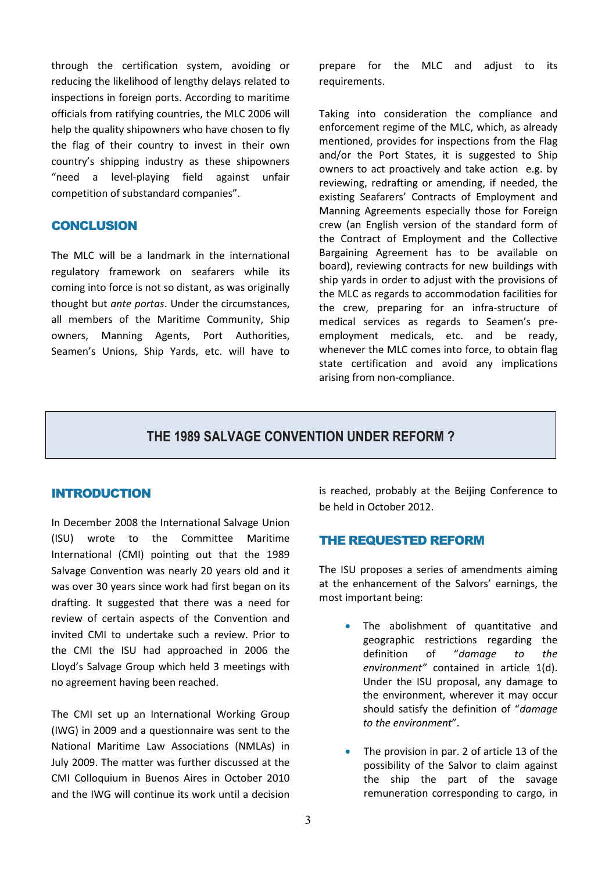through the certification system, avoiding or reducing the likelihood of lengthy delays related to inspections in foreign ports. According to maritime officials from ratifying countries, the MLC 2006 will help the quality shipowners who have chosen to fly the flag of their country to invest in their own country's shipping industry as these shipowners "need a level-playing field against unfair competition of substandard companies".

## **CONCLUSION**

The MLC will be a landmark in the international regulatory framework on seafarers while its coming into force is not so distant, as was originally thought but *ante portas*. Under the circumstances, all members of the Maritime Community, Ship owners, Manning Agents, Port Authorities, Seamen's Unions, Ship Yards, etc. will have to prepare for the MLC and adjust to its requirements.

Taking into consideration the compliance and enforcement regime of the MLC, which, as already mentioned, provides for inspections from the Flag and/or the Port States, it is suggested to Ship owners to act proactively and take action e.g. by reviewing, redrafting or amending, if needed, the existing Seafarers' Contracts of Employment and Manning Agreements especially those for Foreign crew (an English version of the standard form of the Contract of Employment and the Collective Bargaining Agreement has to be available on board), reviewing contracts for new buildings with ship yards in order to adjust with the provisions of the MLC as regards to accommodation facilities for the crew, preparing for an infra-structure of medical services as regards to Seamen's preemployment medicals, etc. and be ready, whenever the MLC comes into force, to obtain flag state certification and avoid any implications arising from non-compliance.

## **THE 1989 SALVAGE CONVENTION UNDER REFORM ?**

### INTRODUCTION

In December 2008 the International Salvage Union (ISU) wrote to the Committee Maritime International (CMI) pointing out that the 1989 Salvage Convention was nearly 20 years old and it was over 30 years since work had first began on its drafting. It suggested that there was a need for review of certain aspects of the Convention and invited CMI to undertake such a review. Prior to the CMI the ISU had approached in 2006 the Lloyd's Salvage Group which held 3 meetings with no agreement having been reached.

The CMI set up an International Working Group (IWG) in 2009 and a questionnaire was sent to the National Maritime Law Associations (NMLAs) in July 2009. The matter was further discussed at the CMI Colloquium in Buenos Aires in October 2010 and the IWG will continue its work until a decision is reached, probably at the Beijing Conference to be held in October 2012.

## THE REQUESTED REFORM

The ISU proposes a series of amendments aiming at the enhancement of the Salvors' earnings, the most important being:

- The abolishment of quantitative and geographic restrictions regarding the definition of "*damage to the environment"* contained in article 1(d). Under the ISU proposal, any damage to the environment, wherever it may occur should satisfy the definition of "*damage to the environment*".
- The provision in par. 2 of article 13 of the possibility of the Salvor to claim against the ship the part of the savage remuneration corresponding to cargo, in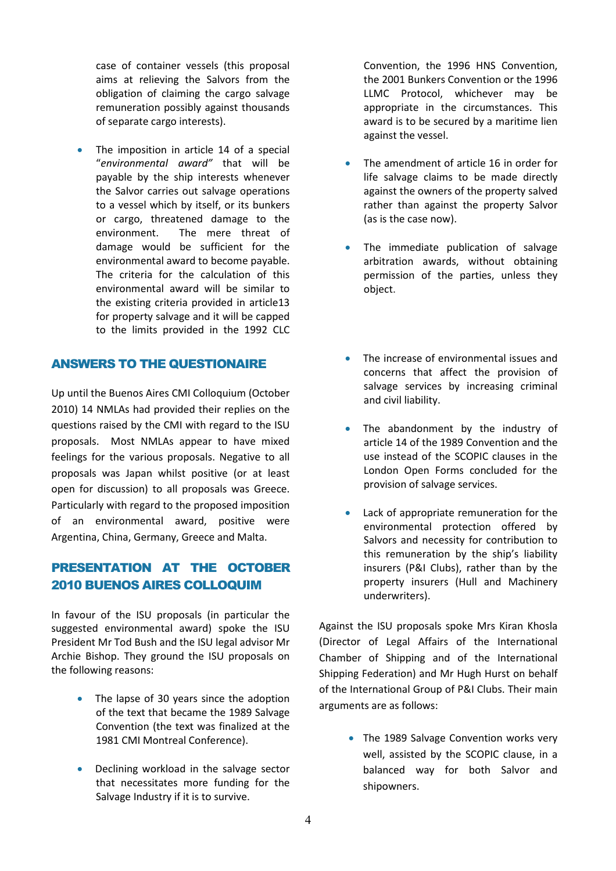case of container vessels (this proposal aims at relieving the Salvors from the obligation of claiming the cargo salvage remuneration possibly against thousands of separate cargo interests).

• The imposition in article 14 of a special "*environmental award"* that will be payable by the ship interests whenever the Salvor carries out salvage operations to a vessel which by itself, or its bunkers or cargo, threatened damage to the environment. The mere threat of damage would be sufficient for the environmental award to become payable. The criteria for the calculation of this environmental award will be similar to the existing criteria provided in article13 for property salvage and it will be capped to the limits provided in the 1992 CLC

## ANSWERS TO THE QUESTIONAIRE

Up until the Buenos Aires CMI Colloquium (October 2010) 14 NMLAs had provided their replies on the questions raised by the CMI with regard to the ISU proposals. Most NMLAs appear to have mixed feelings for the various proposals. Negative to all proposals was Japan whilst positive (or at least open for discussion) to all proposals was Greece. Particularly with regard to the proposed imposition of an environmental award, positive were Argentina, China, Germany, Greece and Malta.

## PRESENTATION AT THE OCTOBER 2010 BUENOS AIRES COLLOQUIM

In favour of the ISU proposals (in particular the suggested environmental award) spoke the ISU President Mr Tod Bush and the ISU legal advisor Mr Archie Bishop. They ground the ISU proposals on the following reasons:

- The lapse of 30 years since the adoption of the text that became the 1989 Salvage Convention (the text was finalized at the 1981 CMI Montreal Conference).
- Declining workload in the salvage sector that necessitates more funding for the Salvage Industry if it is to survive.

Convention, the 1996 HNS Convention, the 2001 Bunkers Convention or the 1996 LLMC Protocol, whichever may be appropriate in the circumstances. This award is to be secured by a maritime lien against the vessel.

- The amendment of article 16 in order for life salvage claims to be made directly against the owners of the property salved rather than against the property Salvor (as is the case now).
- The immediate publication of salvage arbitration awards, without obtaining permission of the parties, unless they object.
- The increase of environmental issues and concerns that affect the provision of salvage services by increasing criminal and civil liability.
- The abandonment by the industry of article 14 of the 1989 Convention and the use instead of the SCOPIC clauses in the London Open Forms concluded for the provision of salvage services.
- Lack of appropriate remuneration for the environmental protection offered by Salvors and necessity for contribution to this remuneration by the ship's liability insurers (P&I Clubs), rather than by the property insurers (Hull and Machinery underwriters).

Against the ISU proposals spoke Mrs Kiran Khosla (Director of Legal Affairs of the International Chamber of Shipping and of the International Shipping Federation) and Mr Hugh Hurst on behalf of the International Group of P&I Clubs. Their main arguments are as follows:

> • The 1989 Salvage Convention works very well, assisted by the SCOPIC clause, in a balanced way for both Salvor and shipowners.